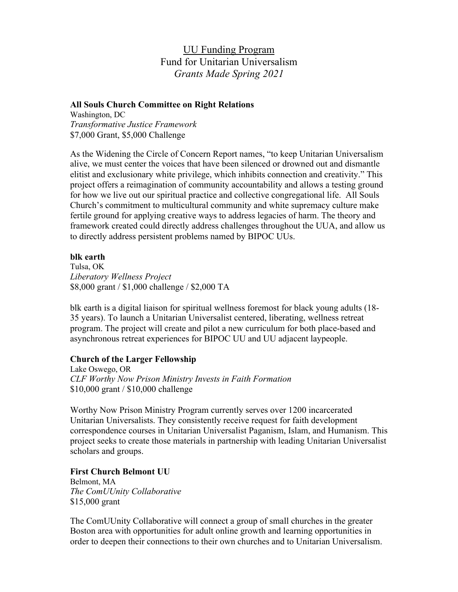UU Funding Program Fund for Unitarian Universalism *Grants Made Spring 2021*

#### **All Souls Church Committee on Right Relations**

Washington, DC *Transformative Justice Framework* \$7,000 Grant, \$5,000 Challenge

As the Widening the Circle of Concern Report names, "to keep Unitarian Universalism alive, we must center the voices that have been silenced or drowned out and dismantle elitist and exclusionary white privilege, which inhibits connection and creativity." This project offers a reimagination of community accountability and allows a testing ground for how we live out our spiritual practice and collective congregational life. All Souls Church's commitment to multicultural community and white supremacy culture make fertile ground for applying creative ways to address legacies of harm. The theory and framework created could directly address challenges throughout the UUA, and allow us to directly address persistent problems named by BIPOC UUs.

## **blk earth**

Tulsa, OK *Liberatory Wellness Project* \$8,000 grant / \$1,000 challenge / \$2,000 TA

blk earth is a digital liaison for spiritual wellness foremost for black young adults (18- 35 years). To launch a Unitarian Universalist centered, liberating, wellness retreat program. The project will create and pilot a new curriculum for both place-based and asynchronous retreat experiences for BIPOC UU and UU adjacent laypeople.

## **Church of the Larger Fellowship**

Lake Oswego, OR *CLF Worthy Now Prison Ministry Invests in Faith Formation* \$10,000 grant / \$10,000 challenge

Worthy Now Prison Ministry Program currently serves over 1200 incarcerated Unitarian Universalists. They consistently receive request for faith development correspondence courses in Unitarian Universalist Paganism, Islam, and Humanism. This project seeks to create those materials in partnership with leading Unitarian Universalist scholars and groups.

#### **First Church Belmont UU**

Belmont, MA *The ComUUnity Collaborative* \$15,000 grant

The ComUUnity Collaborative will connect a group of small churches in the greater Boston area with opportunities for adult online growth and learning opportunities in order to deepen their connections to their own churches and to Unitarian Universalism.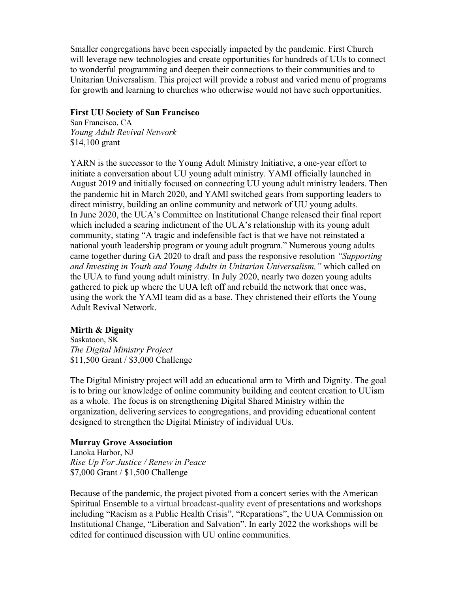Smaller congregations have been especially impacted by the pandemic. First Church will leverage new technologies and create opportunities for hundreds of UUs to connect to wonderful programming and deepen their connections to their communities and to Unitarian Universalism. This project will provide a robust and varied menu of programs for growth and learning to churches who otherwise would not have such opportunities.

#### **First UU Society of San Francisco**

San Francisco, CA *Young Adult Revival Network* \$14,100 grant

YARN is the successor to the Young Adult Ministry Initiative, a one-year effort to initiate a conversation about UU young adult ministry. YAMI officially launched in August 2019 and initially focused on connecting UU young adult ministry leaders. Then the pandemic hit in March 2020, and YAMI switched gears from supporting leaders to direct ministry, building an online community and network of UU young adults. In June 2020, the UUA's Committee on Institutional Change released their final report which included a searing indictment of the UUA's relationship with its young adult community, stating "A tragic and indefensible fact is that we have not reinstated a national youth leadership program or young adult program." Numerous young adults came together during GA 2020 to draft and pass the responsive resolution *"Supporting and Investing in Youth and Young Adults in Unitarian Universalism,"* which called on the UUA to fund young adult ministry. In July 2020, nearly two dozen young adults gathered to pick up where the UUA left off and rebuild the network that once was, using the work the YAMI team did as a base. They christened their efforts the Young Adult Revival Network.

#### **Mirth & Dignity**

Saskatoon, SK *The Digital Ministry Project* \$11,500 Grant / \$3,000 Challenge

The Digital Ministry project will add an educational arm to Mirth and Dignity. The goal is to bring our knowledge of online community building and content creation to UUism as a whole. The focus is on strengthening Digital Shared Ministry within the organization, delivering services to congregations, and providing educational content designed to strengthen the Digital Ministry of individual UUs.

#### **Murray Grove Association**

Lanoka Harbor, NJ *Rise Up For Justice / Renew in Peace* \$7,000 Grant / \$1,500 Challenge

Because of the pandemic, the project pivoted from a concert series with the American Spiritual Ensemble to a virtual broadcast-quality event of presentations and workshops including "Racism as a Public Health Crisis", "Reparations", the UUA Commission on Institutional Change, "Liberation and Salvation". In early 2022 the workshops will be edited for continued discussion with UU online communities.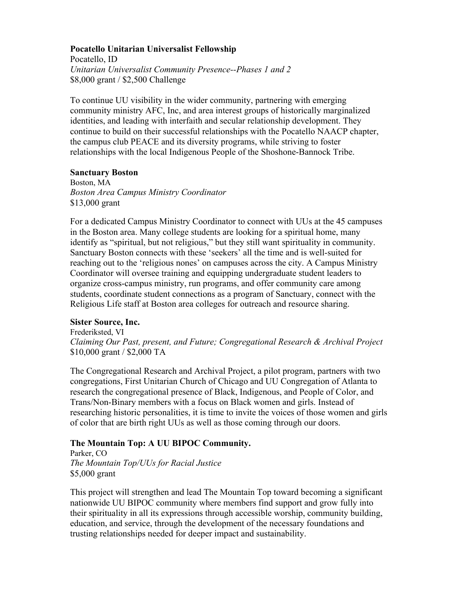## **Pocatello Unitarian Universalist Fellowship**

Pocatello, ID *Unitarian Universalist Community Presence--Phases 1 and 2*  \$8,000 grant / \$2,500 Challenge

To continue UU visibility in the wider community, partnering with emerging community ministry AFC, Inc, and area interest groups of historically marginalized identities, and leading with interfaith and secular relationship development. They continue to build on their successful relationships with the Pocatello NAACP chapter, the campus club PEACE and its diversity programs, while striving to foster relationships with the local Indigenous People of the Shoshone-Bannock Tribe.

## **Sanctuary Boston**

Boston, MA *Boston Area Campus Ministry Coordinator* \$13,000 grant

For a dedicated Campus Ministry Coordinator to connect with UUs at the 45 campuses in the Boston area. Many college students are looking for a spiritual home, many identify as "spiritual, but not religious," but they still want spirituality in community. Sanctuary Boston connects with these 'seekers' all the time and is well-suited for reaching out to the 'religious nones' on campuses across the city. A Campus Ministry Coordinator will oversee training and equipping undergraduate student leaders to organize cross-campus ministry, run programs, and offer community care among students, coordinate student connections as a program of Sanctuary, connect with the Religious Life staff at Boston area colleges for outreach and resource sharing.

## **Sister Source, Inc.**

Frederiksted, VI *Claiming Our Past, present, and Future; Congregational Research & Archival Project* \$10,000 grant / \$2,000 TA

The Congregational Research and Archival Project, a pilot program, partners with two congregations, First Unitarian Church of Chicago and UU Congregation of Atlanta to research the congregational presence of Black, Indigenous, and People of Color, and Trans/Non-Binary members with a focus on Black women and girls. Instead of researching historic personalities, it is time to invite the voices of those women and girls of color that are birth right UUs as well as those coming through our doors.

# **The Mountain Top: A UU BIPOC Community.**

Parker, CO *The Mountain Top/UUs for Racial Justice* \$5,000 grant

This project will strengthen and lead The Mountain Top toward becoming a significant nationwide UU BIPOC community where members find support and grow fully into their spirituality in all its expressions through accessible worship, community building, education, and service, through the development of the necessary foundations and trusting relationships needed for deeper impact and sustainability.